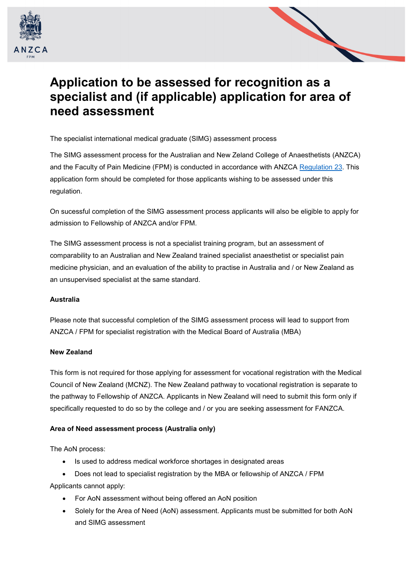



## **Application to be assessed for recognition as a specialist and (if applicable) application for area of need assessment**

The specialist international medical graduate (SIMG) assessment process

The SIMG assessment process for the Australian and New Zeland College of Anaesthetists (ANZCA) and the Faculty of Pain Medicine (FPM) is conducted in accordance with ANZCA [Regulation 23.](https://www.anzca.edu.au/getattachment/856289d3-4f5f-4456-afb8-6234f4fb1241/Regulation-23.aspx#page=) This application form should be completed for those applicants wishing to be assessed under this regulation.

On sucessful completion of the SIMG assessment process applicants will also be eligible to apply for admission to Fellowship of ANZCA and/or FPM.

The SIMG assessment process is not a specialist training program, but an assessment of comparability to an Australian and New Zealand trained specialist anaesthetist or specialist pain medicine physician, and an evaluation of the ability to practise in Australia and / or New Zealand as an unsupervised specialist at the same standard.

## **Australia**

Please note that successful completion of the SIMG assessment process will lead to support from ANZCA / FPM for specialist registration with the Medical Board of Australia (MBA)

## **New Zealand**

This form is not required for those applying for assessment for vocational registration with the Medical Council of New Zealand (MCNZ). The New Zealand pathway to vocational registration is separate to the pathway to Fellowship of ANZCA. Applicants in New Zealand will need to submit this form only if specifically requested to do so by the college and / or you are seeking assessment for FANZCA.

## **Area of Need assessment process (Australia only)**

The AoN process:

- Is used to address medical workforce shortages in designated areas
- Does not lead to specialist registration by the MBA or fellowship of ANZCA / FPM

Applicants cannot apply:

- For AoN assessment without being offered an AoN position
- Solely for the Area of Need (AoN) assessment. Applicants must be submitted for both AoN and SIMG assessment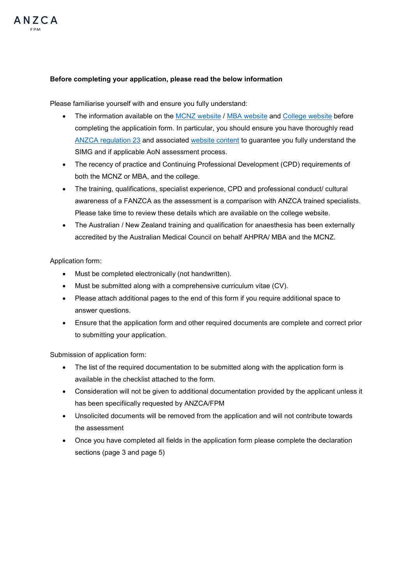

## **Before completing your application, please read the below information**

Please familiarise yourself with and ensure you fully understand:

- The information available on the [MCNZ website](https://www.mcnz.org.nz/registration/getting-registered/how-to-register/registration-process/) / [MBA website](http://www.medicalboard.gov.au/Registration/International-Medical-Graduates/Specialist-Pathway.aspx) and [College website](https://www.anzca.edu.au/education-training/certification-of-overseas-qualifications) before completing the applicatioin form. In particular, you should ensure you have thoroughly read [ANZCA regulation 23](https://www.anzca.edu.au/resources/governance-documents/regulations/reg-23.aspx) and associated [website content](https://www.anzca.edu.au/education-training/certification-of-overseas-qualifications) to guarantee you fully understand the SIMG and if applicable AoN assessment process.
- The recency of practice and Continuing Professional Development (CPD) requirements of both the MCNZ or MBA, and the college.
- The training, qualifications, specialist experience, CPD and professional conduct/ cultural awareness of a FANZCA as the assessment is a comparison with ANZCA trained specialists. Please take time to review these details which are available on the college website.
- The Australian / New Zealand training and qualification for anaesthesia has been externally accredited by the Australian Medical Council on behalf AHPRA/ MBA and the MCNZ.

## Application form:

- Must be completed electronically (not handwritten).
- Must be submitted along with a comprehensive curriculum vitae (CV).
- Please attach additional pages to the end of this form if you require additional space to answer questions.
- Ensure that the application form and other required documents are complete and correct prior to submitting your application.

Submission of application form:

- The list of the required documentation to be submitted along with the application form is available in the checklist attached to the form.
- Consideration will not be given to additional documentation provided by the applicant unless it has been specifiically requested by ANZCA/FPM
- Unsolicited documents will be removed from the application and will not contribute towards the assessment
- Once you have completed all fields in the application form please complete the declaration sections (page 3 and page 5)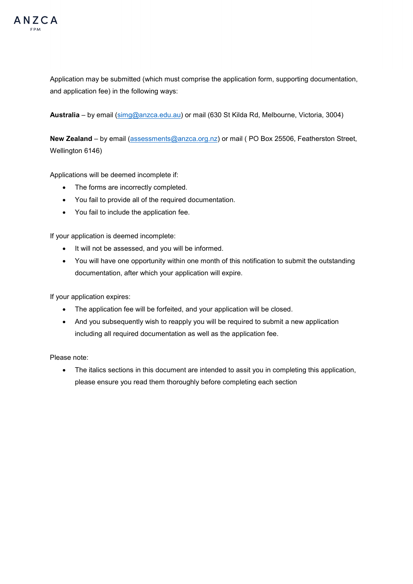

Application may be submitted (which must comprise the application form, supporting documentation, and application fee) in the following ways:

**Australia** – by email [\(simg@anzca.edu.au\)](mailto:simg@anzca.edu.au) or mail (630 St Kilda Rd, Melbourne, Victoria, 3004)

New Zealand – by email [\(assessments@anzca.org.nz\)](mailto:assessments@anzca.org.nz) or mail (PO Box 25506, Featherston Street, Wellington 6146)

Applications will be deemed incomplete if:

- The forms are incorrectly completed.
- You fail to provide all of the required documentation.
- You fail to include the application fee.

If your application is deemed incomplete:

- It will not be assessed, and you will be informed.
- You will have one opportunity within one month of this notification to submit the outstanding documentation, after which your application will expire.

If your application expires:

- The application fee will be forfeited, and your application will be closed.
- And you subsequently wish to reapply you will be required to submit a new application including all required documentation as well as the application fee.

Please note:

• The italics sections in this document are intended to assit you in completing this application, please ensure you read them thoroughly before completing each section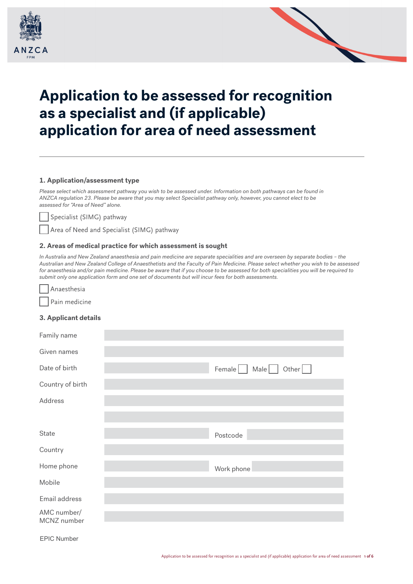



# **Application to be assessed for recognition as a specialist and (if applicable) application for area of need assessment**

## **1. Application/assessment type**

*Please select which assessment pathway you wish to be assessed under. Information on both pathways can be found in ANZCA regulation 23. Please be aware that you may select Specialist pathway only, however, you cannot elect to be assessed for "Area of Need" alone.*

Specialist (SIMG) pathway

Area of Need and Specialist (SIMG) pathway

## **2. Areas of medical practice for which assessment is sought**

*In Australia and New Zealand anaesthesia and pain medicine are separate specialities and are overseen by separate bodies – the Australian and New Zealand College of Anaesthetists and the Faculty of Pain Medicine. Please select whether you wish to be assessed for anaesthesia and/or pain medicine. Please be aware that if you choose to be assessed for both specialities you will be required to submit only one application form and one set of documents but will incur fees for both assessments.*



Pain medicine

## **3. Applicant details**

| Family name                |                              |
|----------------------------|------------------------------|
| Given names                |                              |
| Date of birth              | Female Male<br>Other $  \  $ |
| Country of birth           |                              |
| Address                    |                              |
|                            |                              |
| State                      | Postcode                     |
| Country                    |                              |
| Home phone                 | Work phone                   |
| Mobile                     |                              |
| Email address              |                              |
| AMC number/<br>MCNZ number |                              |

EPIC Number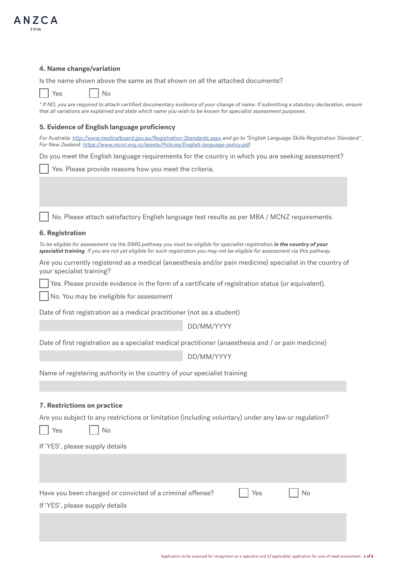

## **4. Name change/variation**

Is the name shown above the same as that shown on all the attached documents?

Yes | No

| * If NO, you are required to attach certified documentary evidence of your change of name. If submitting a statutory declaration, ensure |  |
|------------------------------------------------------------------------------------------------------------------------------------------|--|
| that all variations are explained and state which name you wish to be known for specialist assessment purposes.                          |  |

## **5. Evidence of English language proficiency**

| For Australia: http://www.medicalboard.gov.au/Registration-Standards.aspx and go to "English Language Skills Registration Standard". |  |
|--------------------------------------------------------------------------------------------------------------------------------------|--|
| For New Zealand: https://www.mcnz.org.nz/assets/Policies/English-language-policy.pdf                                                 |  |

Do you meet the English language requirements for the country in which you are seeking assessment?

Yes. Please provide reasons how you meet the criteria.

No. Please attach satisfactory English language test results as per MBA / MCNZ requirements.

#### **6. Registration**

To be eligible for assessment via the SIMG pathway you must be eligible for specialist registration in the country of your *specialist training. If you are not yet eligible for such registration you may not be eligible for assessment via this pathway.*

Are you currently registered as a medical (anaesthesia and/or pain medicine) specialist in the country of your specialist training?

Yes. Please provide evidence in the form of a certificate of registration status (or equivalent).

No. You may be ineligible for assessment

Date of first registration as a medical practitioner (not as a student)

DD/MM/YYYY

Date of first registration as a specialist medical practitioner (anaesthesia and / or pain medicine)

DD/MM/YYYY

Name of registering authority in the country of your specialist training

## **7. Restrictions on practice**

Are you subject to any restrictions or limitation (including voluntary) under any law or regulation?

 $Yes$   $No$ 

If 'YES', please supply details

| Have you been charged or convicted of a criminal offense?<br>If 'YES', please supply details | Yes | No |  |
|----------------------------------------------------------------------------------------------|-----|----|--|
|                                                                                              |     |    |  |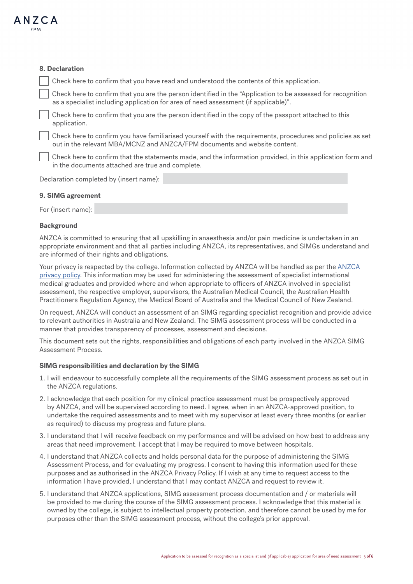

## **8. Declaration**

Check here to confirm that you have read and understood the contents of this application.

 Check here to confirm that you are the person identified in the "Application to be assessed for recognition as a specialist including application for area of need assessment (if applicable)".

 Check here to confirm that you are the person identified in the copy of the passport attached to this application.

 Check here to confirm you have familiarised yourself with the requirements, procedures and policies as set out in the relevant MBA/MCNZ and ANZCA/FPM documents and website content.

 Check here to confirm that the statements made, and the information provided, in this application form and in the documents attached are true and complete.

Declaration completed by (insert name):

## **9. SIMG agreement**

For (insert name):

## **Background**

ANZCA is committed to ensuring that all upskilling in anaesthesia and/or pain medicine is undertaken in an appropriate environment and that all parties including ANZCA, its representatives, and SIMGs understand and are informed of their rights and obligations.

Your privacy is respected by the college. Information collected by [ANZCA](http://www.anzca.edu.au/documents/policy-privacy-policy-20160901-v1-4.pdf) will be handled as per the ANZCA [privacy policy](http://www.anzca.edu.au/documents/policy-privacy-policy-20160901-v1-4.pdf). This information may be used for administering the assessment of specialist international medical graduates and provided where and when appropriate to officers of ANZCA involved in specialist assessment, the respective employer, supervisors, the Australian Medical Council, the Australian Health Practitioners Regulation Agency, the Medical Board of Australia and the Medical Council of New Zealand.

On request, ANZCA will conduct an assessment of an SIMG regarding specialist recognition and provide advice to relevant authorities in Australia and New Zealand. The SIMG assessment process will be conducted in a manner that provides transparency of processes, assessment and decisions.

This document sets out the rights, responsibilities and obligations of each party involved in the ANZCA SIMG Assessment Process.

#### **SIMG responsibilities and declaration by the SIMG**

- 1. I will endeavour to successfully complete all the requirements of the SIMG assessment process as set out in the ANZCA regulations.
- 2. I acknowledge that each position for my clinical practice assessment must be prospectively approved by ANZCA, and will be supervised according to need. I agree, when in an ANZCA-approved position, to undertake the required assessments and to meet with my supervisor at least every three months (or earlier as required) to discuss my progress and future plans.
- 3. I understand that I will receive feedback on my performance and will be advised on how best to address any areas that need improvement. I accept that I may be required to move between hospitals.
- 4. I understand that ANZCA collects and holds personal data for the purpose of administering the SIMG Assessment Process, and for evaluating my progress. I consent to having this information used for these purposes and as authorised in the ANZCA Privacy Policy. If I wish at any time to request access to the information I have provided, I understand that I may contact ANZCA and request to review it.
- 5. I understand that ANZCA applications, SIMG assessment process documentation and / or materials will be provided to me during the course of the SIMG assessment process. I acknowledge that this material is owned by the college, is subject to intellectual property protection, and therefore cannot be used by me for purposes other than the SIMG assessment process, without the college's prior approval.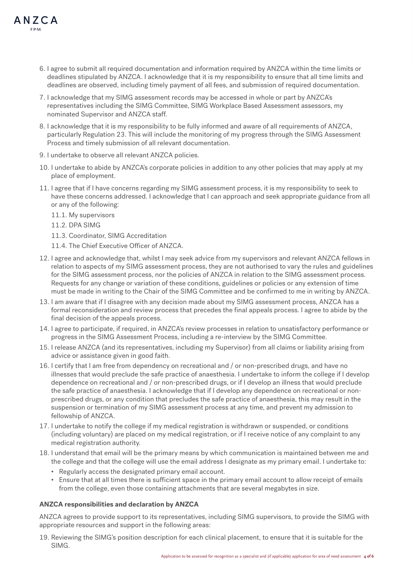

- 6. I agree to submit all required documentation and information required by ANZCA within the time limits or deadlines stipulated by ANZCA. I acknowledge that it is my responsibility to ensure that all time limits and deadlines are observed, including timely payment of all fees, and submission of required documentation.
- 7. I acknowledge that my SIMG assessment records may be accessed in whole or part by ANZCA's representatives including the SIMG Committee, SIMG Workplace Based Assessment assessors, my nominated Supervisor and ANZCA staff.
- 8. I acknowledge that it is my responsibility to be fully informed and aware of all requirements of ANZCA, particularly Regulation 23. This will include the monitoring of my progress through the SIMG Assessment Process and timely submission of all relevant documentation.
- 9. I undertake to observe all relevant ANZCA policies.
- 10. I undertake to abide by ANZCA's corporate policies in addition to any other policies that may apply at my place of employment.
- 11. I agree that if I have concerns regarding my SIMG assessment process, it is my responsibility to seek to have these concerns addressed. I acknowledge that I can approach and seek appropriate guidance from all or any of the following:
	- 11.1. My supervisors
	- 11.2. DPA SIMG
	- 11.3. Coordinator, SIMG Accreditation
	- 11.4. The Chief Executive Officer of ANZCA.
- 12. I agree and acknowledge that, whilst I may seek advice from my supervisors and relevant ANZCA fellows in relation to aspects of my SIMG assessment process, they are not authorised to vary the rules and guidelines for the SIMG assessment process, nor the policies of ANZCA in relation to the SIMG assessment process. Requests for any change or variation of these conditions, guidelines or policies or any extension of time must be made in writing to the Chair of the SIMG Committee and be confirmed to me in writing by ANZCA.
- 13. I am aware that if I disagree with any decision made about my SIMG assessment process, ANZCA has a formal reconsideration and review process that precedes the final appeals process. I agree to abide by the final decision of the appeals process.
- 14. I agree to participate, if required, in ANZCA's review processes in relation to unsatisfactory performance or progress in the SIMG Assessment Process, including a re-interview by the SIMG Committee.
- 15. I release ANZCA (and its representatives, including my Supervisor) from all claims or liability arising from advice or assistance given in good faith.
- 16. I certify that I am free from dependency on recreational and / or non-prescribed drugs, and have no illnesses that would preclude the safe practice of anaesthesia. I undertake to inform the college if I develop dependence on recreational and / or non-prescribed drugs, or if I develop an illness that would preclude the safe practice of anaesthesia. I acknowledge that if I develop any dependence on recreational or nonprescribed drugs, or any condition that precludes the safe practice of anaesthesia, this may result in the suspension or termination of my SIMG assessment process at any time, and prevent my admission to fellowship of ANZCA.
- 17. I undertake to notify the college if my medical registration is withdrawn or suspended, or conditions (including voluntary) are placed on my medical registration, or if I receive notice of any complaint to any medical registration authority.
- 18. I understand that email will be the primary means by which communication is maintained between me and the college and that the college will use the email address I designate as my primary email. I undertake to:
	- Regularly access the designated primary email account.
	- Ensure that at all times there is sufficient space in the primary email account to allow receipt of emails from the college, even those containing attachments that are several megabytes in size.

## **ANZCA responsibilities and declaration by ANZCA**

ANZCA agrees to provide support to its representatives, including SIMG supervisors, to provide the SIMG with appropriate resources and support in the following areas:

19. Reviewing the SIMG's position description for each clinical placement, to ensure that it is suitable for the SIMG.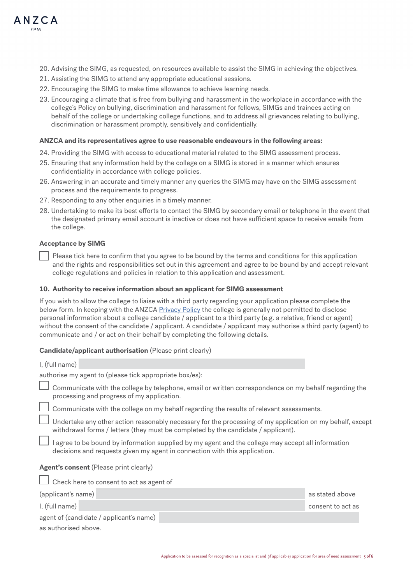

- 20. Advising the SIMG, as requested, on resources available to assist the SIMG in achieving the objectives.
- 21. Assisting the SIMG to attend any appropriate educational sessions.
- 22. Encouraging the SIMG to make time allowance to achieve learning needs.
- 23. Encouraging a climate that is free from bullying and harassment in the workplace in accordance with the college's Policy on bullying, discrimination and harassment for fellows, SIMGs and trainees acting on behalf of the college or undertaking college functions, and to address all grievances relating to bullying, discrimination or harassment promptly, sensitively and confidentially.

#### **ANZCA and its representatives agree to use reasonable endeavours in the following areas:**

- 24. Providing the SIMG with access to educational material related to the SIMG assessment process.
- 25. Ensuring that any information held by the college on a SIMG is stored in a manner which ensures confidentiality in accordance with college policies.
- 26. Answering in an accurate and timely manner any queries the SIMG may have on the SIMG assessment process and the requirements to progress.
- 27. Responding to any other enquiries in a timely manner.
- 28. Undertaking to make its best efforts to contact the SIMG by secondary email or telephone in the event that the designated primary email account is inactive or does not have sufficient space to receive emails from the college.

#### **Acceptance by SIMG**

Please tick here to confirm that you agree to be bound by the terms and conditions for this application and the rights and responsibilities set out in this agreement and agree to be bound by and accept relevant college regulations and policies in relation to this application and assessment.

#### **10. Authority to receive information about an applicant for SIMG assessment**

If you wish to allow the college to liaise with a third party regarding your application please complete the below form. In keeping with the ANZCA [Privacy Policy](http://www.anzca.edu.au/documents/policy-privacy-policy-20160901-v1-4.pdf) the college is generally not permitted to disclose personal information about a college candidate / applicant to a third party (e.g. a relative, friend or agent) without the consent of the candidate / applicant. A candidate / applicant may authorise a third party (agent) to communicate and / or act on their behalf by completing the following details.

## **Candidate/applicant authorisation** (Please print clearly)

| I, (full name)                                                                                                                                                                                 |                   |
|------------------------------------------------------------------------------------------------------------------------------------------------------------------------------------------------|-------------------|
| authorise my agent to (please tick appropriate box/es):                                                                                                                                        |                   |
| Communicate with the college by telephone, email or written correspondence on my behalf regarding the<br>processing and progress of my application.                                            |                   |
| Communicate with the college on my behalf regarding the results of relevant assessments.                                                                                                       |                   |
| Undertake any other action reasonably necessary for the processing of my application on my behalf, except<br>withdrawal forms / letters (they must be completed by the candidate / applicant). |                   |
| I agree to be bound by information supplied by my agent and the college may accept all information<br>decisions and requests given my agent in connection with this application.               |                   |
| <b>Agent's consent</b> (Please print clearly)                                                                                                                                                  |                   |
| Check here to consent to act as agent of                                                                                                                                                       |                   |
| (applicant's name)                                                                                                                                                                             | as stated above   |
| I, (full name)                                                                                                                                                                                 | consent to act as |
| agent of (candidate / applicant's name)                                                                                                                                                        |                   |
| as authorised above.                                                                                                                                                                           |                   |